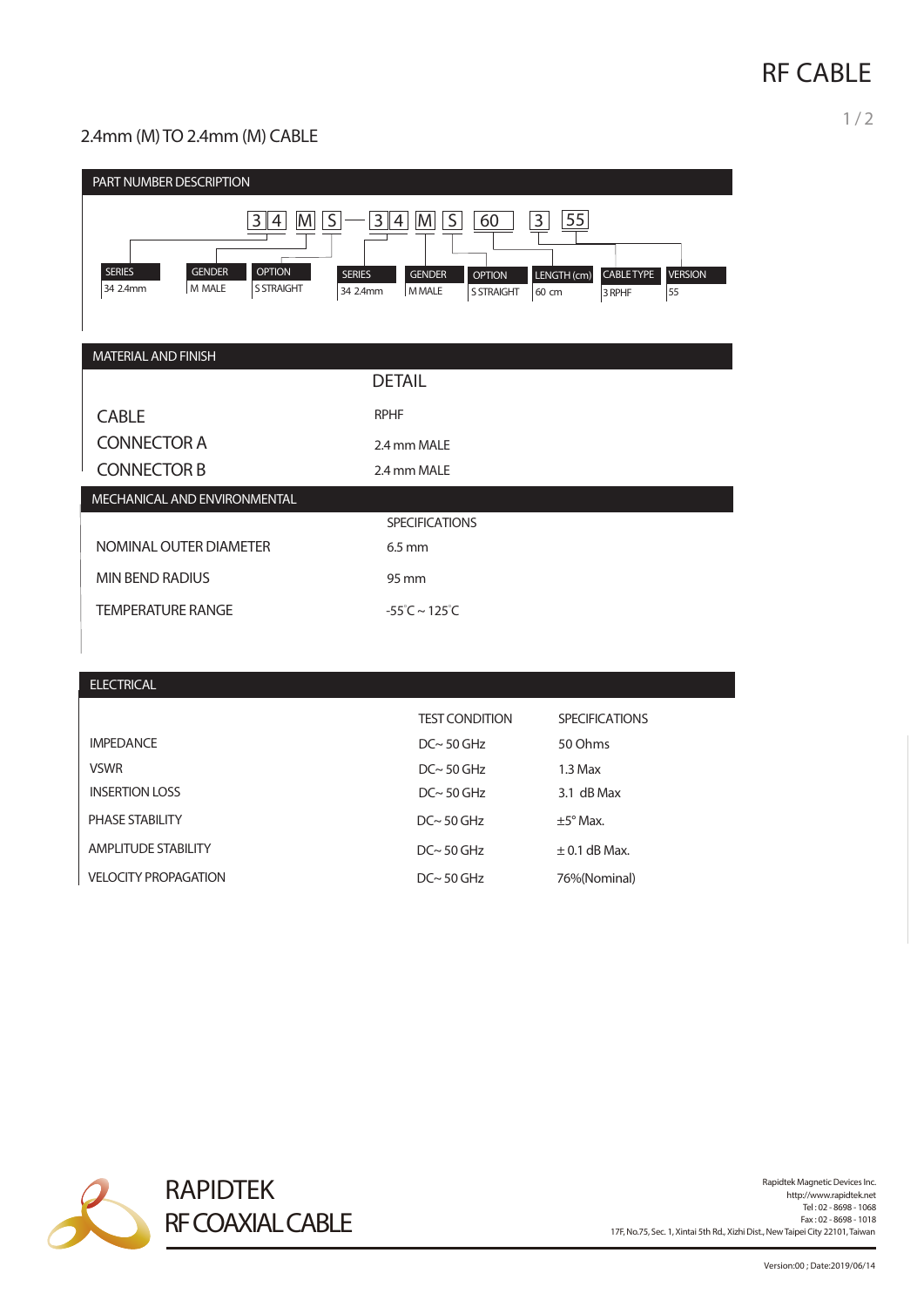# **RF CABLE**

1 / 2

### 2.4mm (M) TO 2.4mm (M) CABLE

| PART NUMBER DESCRIPTION                                                                                             |                                                                                                                 |                                                                                         |
|---------------------------------------------------------------------------------------------------------------------|-----------------------------------------------------------------------------------------------------------------|-----------------------------------------------------------------------------------------|
| $M \mid S$<br>3 <br>4<br><b>SERIES</b><br><b>GENDER</b><br><b>OPTION</b><br>34 2.4mm<br>M MALE<br><b>S STRAIGHT</b> | M S <br>3 4 <br>60<br><b>SERIES</b><br><b>GENDER</b><br><b>OPTION</b><br>34 2.4mm<br>MMALE<br><b>S STRAIGHT</b> | 55<br>3 <br>LENGTH (cm)<br><b>CABLE TYPE</b><br><b>VERSION</b><br>55<br>60 cm<br>3 RPHF |
| MATERIAL AND FINISH                                                                                                 |                                                                                                                 |                                                                                         |
|                                                                                                                     | <b>DETAIL</b>                                                                                                   |                                                                                         |
| <b>CABLE</b>                                                                                                        | <b>RPHF</b>                                                                                                     |                                                                                         |
| <b>CONNECTOR A</b>                                                                                                  | 2.4 mm MALE                                                                                                     |                                                                                         |
| <b>CONNECTOR B</b>                                                                                                  | 2.4 mm MALE                                                                                                     |                                                                                         |
| MECHANICAL AND ENVIRONMENTAL                                                                                        |                                                                                                                 |                                                                                         |
|                                                                                                                     | <b>SPECIFICATIONS</b>                                                                                           |                                                                                         |
| NOMINAL OUTER DIAMETER                                                                                              | $6.5$ mm                                                                                                        |                                                                                         |
| <b>MIN BEND RADIUS</b>                                                                                              | 95 mm                                                                                                           |                                                                                         |
| <b>TEMPERATURE RANGE</b>                                                                                            | $-55^{\circ}$ C ~ 125 $^{\circ}$ C                                                                              |                                                                                         |
|                                                                                                                     |                                                                                                                 |                                                                                         |
| <b>ELECTRICAL</b>                                                                                                   |                                                                                                                 |                                                                                         |
|                                                                                                                     |                                                                                                                 |                                                                                         |
|                                                                                                                     | <b>TEST CONDITION</b>                                                                                           | <b>SPECIFICATIONS</b>                                                                   |
| <b>IMPEDANCE</b>                                                                                                    | $DC~ 50$ GHz                                                                                                    | 50 Ohms                                                                                 |
| <b>VSWR</b>                                                                                                         | $DC~ 50$ GHz                                                                                                    | $1.3$ Max                                                                               |
| <b>INSERTION LOSS</b>                                                                                               | $DC \sim 50$ GHz                                                                                                | 3.1 dB Max                                                                              |
| PHASE STABILITY                                                                                                     | $DC~ 50$ GHz                                                                                                    | $\pm 5^{\circ}$ Max.                                                                    |
| <b>AMPLITUDE STABILITY</b>                                                                                          | $DC \sim 50$ GHz                                                                                                | $\pm$ 0.1 dB Max.                                                                       |
| <b>VELOCITY PROPAGATION</b>                                                                                         | $DC~ 50$ GHz                                                                                                    | 76%(Nominal)                                                                            |



Rapidtek Magnetic Devices Inc.<br>http://www.rapidtek.net<br>Tel : 02 - 8698 - 1068 Fax : 02 - 8698 - 1018 17F, No.75, Sec. 1, Xintai 5th Rd., Xizhi Dist., NewTaipei City 22101,Taiwan